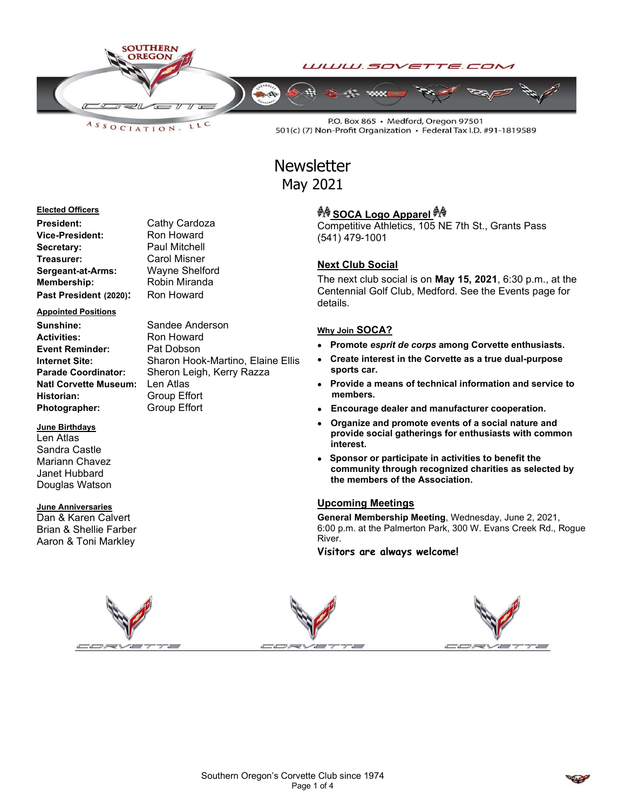

LLC  $A S S O C I AT I O N.$ 

P.O. Box 865 · Medford, Oregon 97501 501(c) (7) Non-Profit Organization · Federal Tax I.D. #91-1819589

## **Newsletter** May 2021

#### Elected Officers

| President:             | Cа |
|------------------------|----|
| Vice-President:        | Ro |
| Secretary:             | Pa |
| Treasurer:             | Сa |
| Sergeant-at-Arms:      | W٤ |
| Membership:            | Ro |
| Past President (2020): | Ro |

#### Appointed Positions

Sunshine: Sandee Anderson Activities: Ron Howard Event Reminder: Pat Dobson Natl Corvette Museum: Len Atlas Historian: Group Effort Photographer: Group Effort

### **June Birthdays**

Len Atlas Sandra Castle Mariann Chavez Janet Hubbard Douglas Watson

#### June Anniversaries

Dan & Karen Calvert Brian & Shellie Farber Aaron & Toni Markley

thy Cardoza n Howard ul Mitchell arol Misner avne Shelford bin Miranda **Pand** Howard

Internet Site: Sharon Hook-Martino, Elaine Ellis Parade Coordinator: Sheron Leigh, Kerry Razza

## *<sup>ইা</sup>ই* SOCA Logo Apparel <sup>*ইাই*</sup>

Competitive Athletics, 105 NE 7th St., Grants Pass (541) 479-1001

## **Next Club Social**

The next club social is on May 15, 2021, 6:30 p.m., at the Centennial Golf Club, Medford. See the Events page for details.

#### Why Join SOCA?

- Promote esprit de corps among Corvette enthusiasts.
- Create interest in the Corvette as a true dual-purpose sports car.
- Provide a means of technical information and service to members.
- Encourage dealer and manufacturer cooperation.
- Organize and promote events of a social nature and provide social gatherings for enthusiasts with common interest.
- Sponsor or participate in activities to benefit the community through recognized charities as selected by the members of the Association.

#### Upcoming Meetings

General Membership Meeting, Wednesday, June 2, 2021, 6:00 p.m. at the Palmerton Park, 300 W. Evans Creek Rd., Rogue River.

Visitors are always welcome!



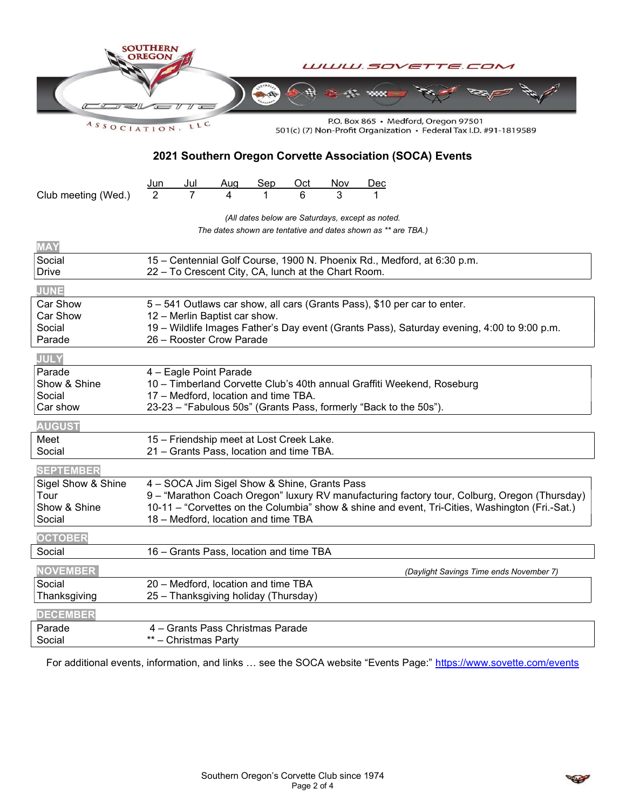|                                                                                                                                  | SOUTHERN<br>UWW.SOVET                                                                                                                                                                                                                                                                 |  |
|----------------------------------------------------------------------------------------------------------------------------------|---------------------------------------------------------------------------------------------------------------------------------------------------------------------------------------------------------------------------------------------------------------------------------------|--|
| P.O. Box 865 · Medford, Oregon 97501<br>ASSOCIATION.<br>LLC<br>501(c) (7) Non-Profit Organization • Federal Tax I.D. #91-1819589 |                                                                                                                                                                                                                                                                                       |  |
| 2021 Southern Oregon Corvette Association (SOCA) Events                                                                          |                                                                                                                                                                                                                                                                                       |  |
| Club meeting (Wed.)                                                                                                              | <u>Sep</u><br><u>Oct</u><br>$\frac{\text{Aug}}{4}$<br><u>Nov</u><br>$\frac{\text{Jun}}{2}$                                                                                                                                                                                            |  |
| (All dates below are Saturdays, except as noted.<br>The dates shown are tentative and dates shown as ** are TBA.)                |                                                                                                                                                                                                                                                                                       |  |
| <b>MAY</b><br>Social<br><b>Drive</b>                                                                                             | 15 - Centennial Golf Course, 1900 N. Phoenix Rd., Medford, at 6:30 p.m.<br>22 - To Crescent City, CA, lunch at the Chart Room.                                                                                                                                                        |  |
| <b>JUNE</b>                                                                                                                      |                                                                                                                                                                                                                                                                                       |  |
| Car Show<br>Car Show<br>Social<br>Parade                                                                                         | 5 – 541 Outlaws car show, all cars (Grants Pass), \$10 per car to enter.<br>12 - Merlin Baptist car show.<br>19 - Wildlife Images Father's Day event (Grants Pass), Saturday evening, 4:00 to 9:00 p.m.<br>26 - Rooster Crow Parade                                                   |  |
| <b>JULY</b>                                                                                                                      |                                                                                                                                                                                                                                                                                       |  |
| Parade<br>Show & Shine<br>Social<br>Car show                                                                                     | 4 – Eagle Point Parade<br>10 - Timberland Corvette Club's 40th annual Graffiti Weekend, Roseburg<br>17 - Medford, location and time TBA.<br>23-23 - "Fabulous 50s" (Grants Pass, formerly "Back to the 50s").                                                                         |  |
| <b>AUGUST</b>                                                                                                                    |                                                                                                                                                                                                                                                                                       |  |
| Meet<br>Social                                                                                                                   | 15 - Friendship meet at Lost Creek Lake.<br>21 - Grants Pass, location and time TBA.                                                                                                                                                                                                  |  |
| <b>SEPTEMBER</b><br>Sigel Show & Shine<br><u>i</u> our<br>Show & Shine<br>Social                                                 | 4 - SOCA Jim Sigel Show & Shine, Grants Pass<br>9 - "Marathon Coach Oregon" luxury RV manufacturing factory tour, Colburg, Oregon (Thursday)<br>10-11 - "Corvettes on the Columbia" show & shine and event, Tri-Cities, Washington (Fri.-Sat.)<br>18 - Medford, location and time TBA |  |
| <b>OCTOBER</b>                                                                                                                   |                                                                                                                                                                                                                                                                                       |  |
| Social                                                                                                                           | 16 - Grants Pass, location and time TBA                                                                                                                                                                                                                                               |  |
| <b>NOVEMBER</b><br>Social                                                                                                        | (Daylight Savings Time ends November 7)<br>20 - Medford, location and time TBA                                                                                                                                                                                                        |  |
| Thanksgiving                                                                                                                     | 25 - Thanksgiving holiday (Thursday)                                                                                                                                                                                                                                                  |  |
| <b>DECEMBER</b><br>Parade<br>Social                                                                                              | 4 - Grants Pass Christmas Parade<br>** - Christmas Party                                                                                                                                                                                                                              |  |

For additional events, information, and links ... see the SOCA website "Events Page:" https://www.sovette.com/events

 $\overline{\phantom{a}}$ 

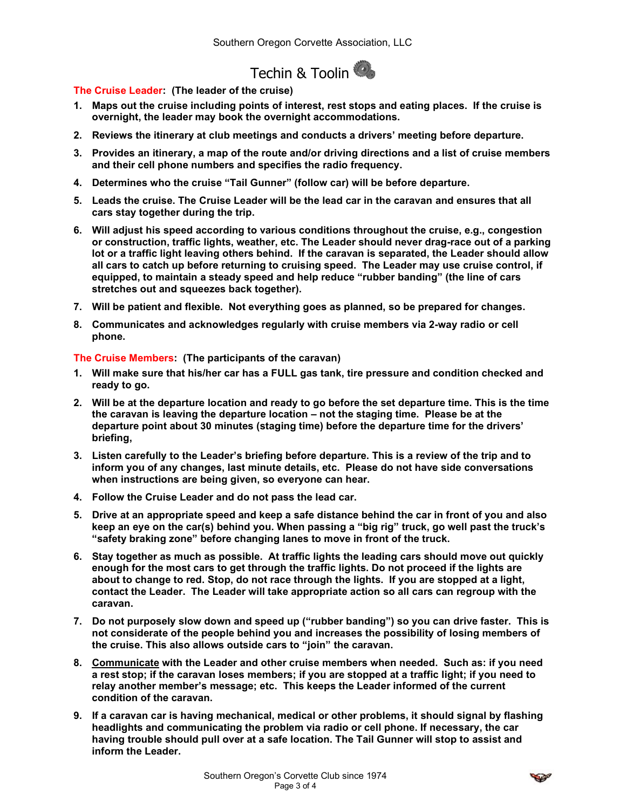# Techin & Toolin

The Cruise Leader: (The leader of the cruise)

- 1. Maps out the cruise including points of interest, rest stops and eating places. If the cruise is overnight, the leader may book the overnight accommodations.
- 2. Reviews the itinerary at club meetings and conducts a drivers' meeting before departure.
- 3. Provides an itinerary, a map of the route and/or driving directions and a list of cruise members and their cell phone numbers and specifies the radio frequency.
- 4. Determines who the cruise "Tail Gunner" (follow car) will be before departure.
- 5. Leads the cruise. The Cruise Leader will be the lead car in the caravan and ensures that all cars stay together during the trip.
- 6. Will adjust his speed according to various conditions throughout the cruise, e.g., congestion or construction, traffic lights, weather, etc. The Leader should never drag-race out of a parking lot or a traffic light leaving others behind. If the caravan is separated, the Leader should allow all cars to catch up before returning to cruising speed. The Leader may use cruise control, if equipped, to maintain a steady speed and help reduce "rubber banding" (the line of cars stretches out and squeezes back together).
- 7. Will be patient and flexible. Not everything goes as planned, so be prepared for changes.
- 8. Communicates and acknowledges regularly with cruise members via 2-way radio or cell phone.

The Cruise Members: (The participants of the caravan)

- 1. Will make sure that his/her car has a FULL gas tank, tire pressure and condition checked and ready to go.
- 2. Will be at the departure location and ready to go before the set departure time. This is the time the caravan is leaving the departure location – not the staging time. Please be at the departure point about 30 minutes (staging time) before the departure time for the drivers' briefing,
- 3. Listen carefully to the Leader's briefing before departure. This is a review of the trip and to inform you of any changes, last minute details, etc. Please do not have side conversations when instructions are being given, so everyone can hear.
- 4. Follow the Cruise Leader and do not pass the lead car.
- 5. Drive at an appropriate speed and keep a safe distance behind the car in front of you and also keep an eye on the car(s) behind you. When passing a "big rig" truck, go well past the truck's "safety braking zone" before changing lanes to move in front of the truck.
- 6. Stay together as much as possible. At traffic lights the leading cars should move out quickly enough for the most cars to get through the traffic lights. Do not proceed if the lights are about to change to red. Stop, do not race through the lights. If you are stopped at a light, contact the Leader. The Leader will take appropriate action so all cars can regroup with the caravan.
- 7. Do not purposely slow down and speed up ("rubber banding") so you can drive faster. This is not considerate of the people behind you and increases the possibility of losing members of the cruise. This also allows outside cars to "join" the caravan.
- 8. Communicate with the Leader and other cruise members when needed. Such as: if you need a rest stop; if the caravan loses members; if you are stopped at a traffic light; if you need to relay another member's message; etc. This keeps the Leader informed of the current condition of the caravan.
- 9. If a caravan car is having mechanical, medical or other problems, it should signal by flashing headlights and communicating the problem via radio or cell phone. If necessary, the car having trouble should pull over at a safe location. The Tail Gunner will stop to assist and inform the Leader.